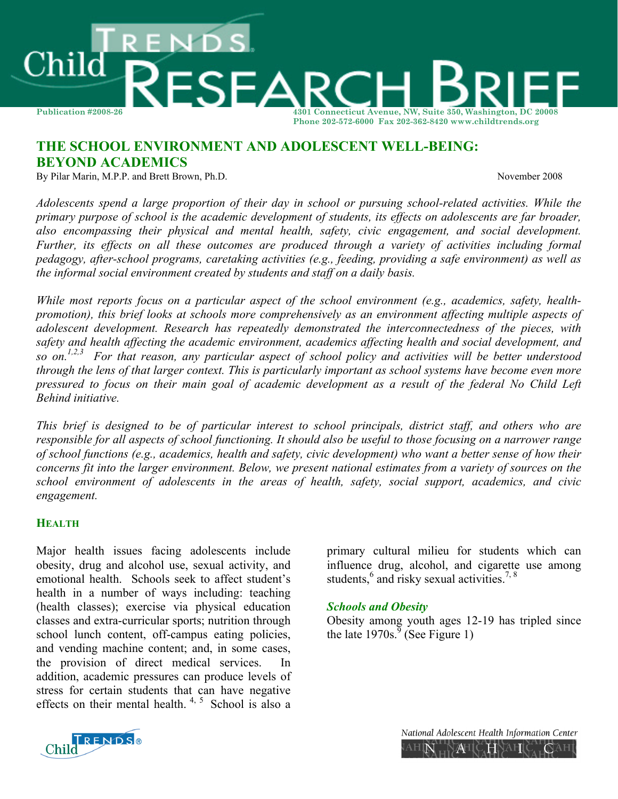

# **THE SCHOOL ENVIRONMENT AND ADOLESCENT WELL-BEING: BEYOND ACADEMICS**

By Pilar Marin, M.P.P. and Brett Brown, Ph.D. *November 2008* 

*Adolescents spend a large proportion of their day in school or pursuing school-related activities. While the primary purpose of school is the academic development of students, its effects on adolescents are far broader, also encompassing their physical and mental health, safety, civic engagement, and social development. Further, its effects on all these outcomes are produced through a variety of activities including formal pedagogy, after-school programs, caretaking activities (e.g., feeding, providing a safe environment) as well as the informal social environment created by students and staff on a daily basis.* 

*While most reports focus on a particular aspect of the school environment (e.g., academics, safety, healthpromotion), this brief looks at schools more comprehensively as an environment affecting multiple aspects of adolescent development. Research has repeatedly demonstrated the interconnectedness of the pieces, with safety and health affecting the academic environment, academics affecting health and social development, and so on.1,2,3 For that reason, any particular aspect of school policy and activities will be better understood through the lens of that larger context. This is particularly important as school systems have become even more pressured to focus on their main goal of academic development as a result of the federal No Child Left Behind initiative.* 

*This brief is designed to be of particular interest to school principals, district staff, and others who are responsible for all aspects of school functioning. It should also be useful to those focusing on a narrower range of school functions (e.g., academics, health and safety, civic development) who want a better sense of how their concerns fit into the larger environment. Below, we present national estimates from a variety of sources on the school environment of adolescents in the areas of health, safety, social support, academics, and civic engagement.* 

# **HEALTH**

Major health issues facing adolescents include obesity, drug and alcohol use, sexual activity, and emotional health. Schools seek to affect student's health in a number of ways including: teaching (health classes); exercise via physical education classes and extra-curricular sports; nutrition through school lunch content, off-campus eating policies, and vending machine content; and, in some cases, the provision of direct medical services. addition, academic pressures can produce levels of stress for certain students that can have negative effects on their mental health.  $4, 5$  School is also a

primary cultural milieu for students which can influence drug, alcohol, and cigarette use among students, $6$  and risky sexual activities.<sup>7, 8</sup>

# *Schools and Obesity*

Obesity among youth ages 12-19 has tripled since the late  $1970s<sup>9</sup>$  (See Figure 1)



National Adolescent Health Information Center AHIN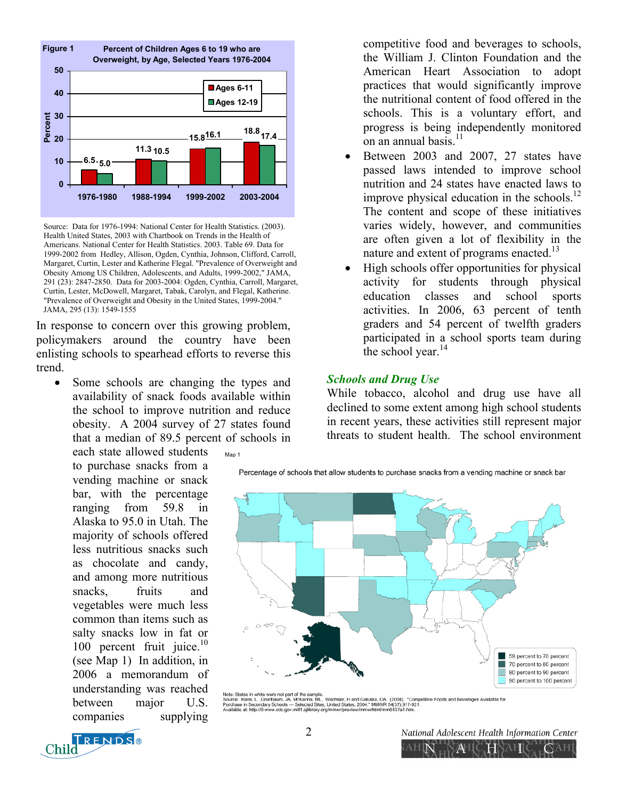

Source: Data for 1976-1994: National Center for Health Statistics. (2003). Health United States, 2003 with Chartbook on Trends in the Health of Americans. National Center for Health Statistics. 2003. Table 69. Data for 1999-2002 from Hedley, Allison, Ogden, Cynthia, Johnson, Clifford, Carroll, Margaret, Curtin, Lester and Katherine Flegal. "Prevalence of Overweight and Obesity Among US Children, Adolescents, and Adults, 1999-2002," JAMA, 291 (23): 2847-2850. Data for 2003-2004: Ogden, Cynthia, Carroll, Margaret, Curtin, Lester, McDowell, Margaret, Tabak, Carolyn, and Flegal, Katherine. "Prevalence of Overweight and Obesity in the United States, 1999-2004." JAMA, 295 (13): 1549-1555

In response to concern over this growing problem, policymakers around the country have been enlisting schools to spearhead efforts to reverse this trend.

Some schools are changing the types and availability of snack foods available within the school to improve nutrition and reduce obesity. A 2004 survey of 27 states found that a median of 89.5 percent of schools in

each state allowed students to purchase snacks from a vending machine or snack bar, with the percentage ranging from 59.8 in Alaska to 95.0 in Utah. The majority of schools offered less nutritious snacks such as chocolate and candy, and among more nutritious snacks, fruits and vegetables were much less common than items such as salty snacks low in fat or 100 percent fruit juice. $10$ (see Map 1) In addition, in 2006 a memorandum of understanding was reached between major U.S. companies supplying

Man 1

competitive food and beverages to schools, the William J. Clinton Foundation and the American Heart Association to adopt practices that would significantly improve the nutritional content of food offered in the schools. This is a voluntary effort, and progress is being independently monitored on an annual basis.<sup>11</sup>

- Between 2003 and 2007, 27 states have passed laws intended to improve school nutrition and 24 states have enacted laws to improve physical education in the schools. $^{12}$ The content and scope of these initiatives varies widely, however, and communities are often given a lot of flexibility in the nature and extent of programs enacted.<sup>13</sup>
- High schools offer opportunities for physical activity for students through physical education classes and school sports activities. In 2006, 63 percent of tenth graders and 54 percent of twelfth graders participated in a school sports team during the school year. $14$

## *Schools and Drug Use*

While tobacco, alcohol and drug use have all declined to some extent among high school students in recent years, these activities still represent major threats to student health. The school environment

Percentage of schools that allow students to purchase snacks from a vending machine or snack bar



Note: States in white were not part of the sample.<br>Source: Karn, L., Grunbaum, JA, McKenna, ML, Wechsler, H and Galuska, DA. (2004). "Competitive Foods and Beverages Available for<br>Purchase in Secondary Schools --- Selected



2 National Adolescent Health Information Center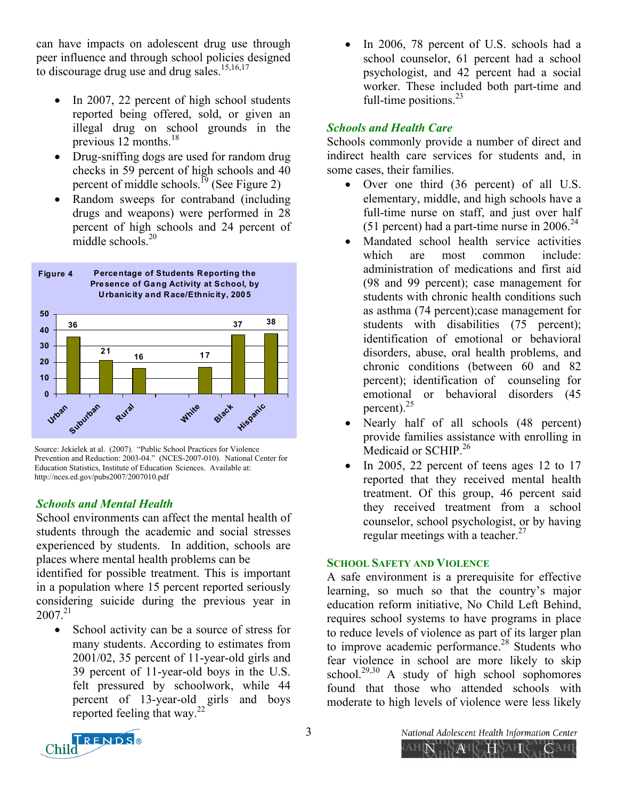can have impacts on adolescent drug use through peer influence and through school policies designed to discourage drug use and drug sales.<sup>15,16,17</sup>

- In 2007, 22 percent of high school students reported being offered, sold, or given an illegal drug on school grounds in the previous 12 months. $^{18}$
- Drug-sniffing dogs are used for random drug checks in 59 percent of high schools and 40 percent of middle schools.<sup>19</sup> (See Figure 2)
- Random sweeps for contraband (including drugs and weapons) were performed in 28 percent of high schools and 24 percent of middle schools  $^{20}$



Source: Jekielek at al. (2007). "Public School Practices for Violence Prevention and Reduction: 2003-04." (NCES-2007-010). National Center for Education Statistics, Institute of Education Sciences. Available at: http://nces.ed.gov/pubs2007/2007010.pdf

# *Schools and Mental Health*

School environments can affect the mental health of students through the academic and social stresses experienced by students. In addition, schools are places where mental health problems can be

identified for possible treatment. This is important in a population where 15 percent reported seriously considering suicide during the previous year in  $2007.<sup>21</sup>$ 

• School activity can be a source of stress for many students. According to estimates from 2001/02, 35 percent of 11-year-old girls and 39 percent of 11-year-old boys in the U.S. felt pressured by schoolwork, while 44 percent of 13-year-old girls and boys reported feeling that way.22

In 2006, 78 percent of U.S. schools had a school counselor, 61 percent had a school psychologist, and 42 percent had a social worker. These included both part-time and full-time positions. $^{23}$ 

# *Schools and Health Care*

Schools commonly provide a number of direct and indirect health care services for students and, in some cases, their families.

- Over one third (36 percent) of all U.S. elementary, middle, and high schools have a full-time nurse on staff, and just over half (51 percent) had a part-time nurse in  $2006.<sup>24</sup>$
- Mandated school health service activities which are most common include: administration of medications and first aid (98 and 99 percent); case management for students with chronic health conditions such as asthma (74 percent);case management for students with disabilities (75 percent); identification of emotional or behavioral disorders, abuse, oral health problems, and chronic conditions (between 60 and 82 percent); identification of counseling for emotional or behavioral disorders (45 percent).25
- Nearly half of all schools (48 percent) provide families assistance with enrolling in Medicaid or SCHIP.<sup>26</sup>
- In 2005, 22 percent of teens ages 12 to  $17$ reported that they received mental health treatment. Of this group, 46 percent said they received treatment from a school counselor, school psychologist, or by having regular meetings with a teacher. $27$

# **SCHOOL SAFETY AND VIOLENCE**

A safe environment is a prerequisite for effective learning, so much so that the country's major education reform initiative, No Child Left Behind, requires school systems to have programs in place to reduce levels of violence as part of its larger plan to improve academic performance.<sup>28</sup> Students who fear violence in school are more likely to skip school.<sup>29,30</sup> A study of high school sophomores found that those who attended schools with moderate to high levels of violence were less likely



3 National Adolescent Health Information Center  $A\!\!\!\!\perp$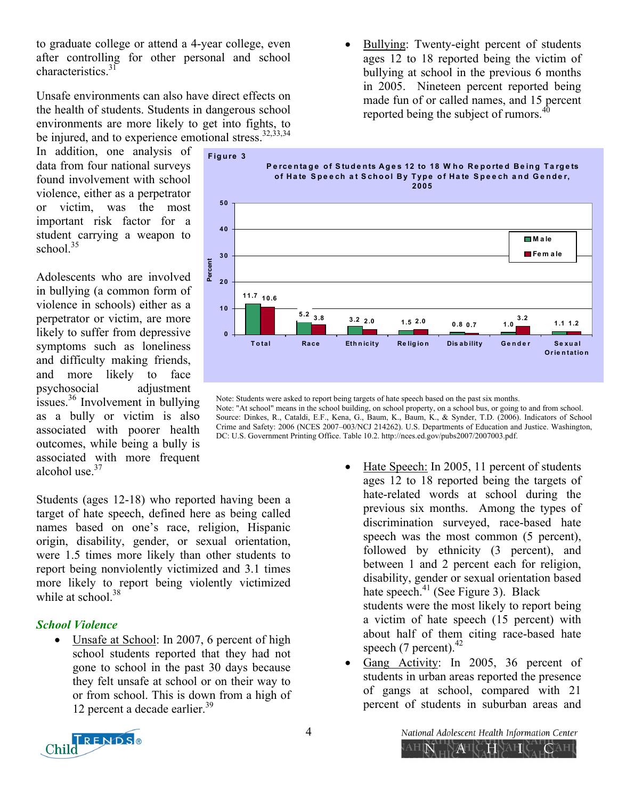to graduate college or attend a 4-year college, even after controlling for other personal and school characteristics.<sup>31</sup>

Unsafe environments can also have direct effects on the health of students. Students in dangerous school environments are more likely to get into fights, to be injured, and to experience emotional stress. $32,33,34$ 

In addition, one analysis of data from four national surveys found involvement with school violence, either as a perpetrator or victim, was the most important risk factor for a student carrying a weapon to school $35$ 

Adolescents who are involved in bullying (a common form of violence in schools) either as a perpetrator or victim, are more likely to suffer from depressive symptoms such as loneliness and difficulty making friends, and more likely to face psychosocial adjustment issues.36 Involvement in bullying as a bully or victim is also associated with poorer health outcomes, while being a bully is associated with more frequent alcohol use.<sup>37</sup>

Students (ages 12-18) who reported having been a target of hate speech, defined here as being called names based on one's race, religion, Hispanic origin, disability, gender, or sexual orientation, were 1.5 times more likely than other students to report being nonviolently victimized and 3.1 times more likely to report being violently victimized while at school  $38$ 

# *School Violence*

Unsafe at School: In 2007, 6 percent of high school students reported that they had not gone to school in the past 30 days because they felt unsafe at school or on their way to or from school. This is down from a high of 12 percent a decade earlier.<sup>39</sup>

• Bullying: Twenty-eight percent of students ages 12 to 18 reported being the victim of bullying at school in the previous 6 months in 2005. Nineteen percent reported being made fun of or called names, and 15 percent reported being the subject of rumors.<sup>40</sup>



Note: Students were asked to report being targets of hate speech based on the past six months.

Note: "At school" means in the school building, on school property, on a school bus, or going to and from school. Source: Dinkes, R., Cataldi, E.F., Kena, G., Baum, K., Baum, K., & Synder, T.D. (2006). Indicators of School Crime and Safety: 2006 (NCES 2007–003/NCJ 214262). U.S. Departments of Education and Justice. Washington, DC: U.S. Government Printing Office. Table 10.2. http://nces.ed.gov/pubs2007/2007003.pdf.

- Hate Speech: In 2005, 11 percent of students ages 12 to 18 reported being the targets of hate-related words at school during the previous six months. Among the types of discrimination surveyed, race-based hate speech was the most common  $(5$  percent), followed by ethnicity (3 percent), and between 1 and 2 percent each for religion, disability, gender or sexual orientation based hate speech. $41$  (See Figure 3). Black students were the most likely to report being a victim of hate speech (15 percent) with about half of them citing race-based hate speech (7 percent). $42$
- Gang Activity: In 2005, 36 percent of students in urban areas reported the presence of gangs at school, compared with 21 percent of students in suburban areas and



4 National Adolescent Health Information Center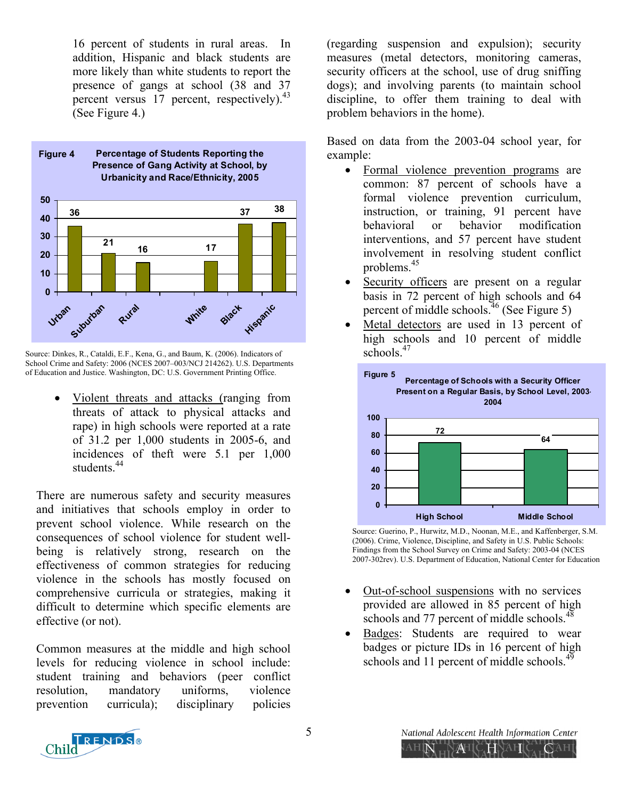16 percent of students in rural areas. In addition, Hispanic and black students are more likely than white students to report the presence of gangs at school (38 and 37 percent versus 17 percent, respectively).<sup>43</sup> (See Figure 4.)



Source: Dinkes, R., Cataldi, E.F., Kena, G., and Baum, K. (2006). Indicators of School Crime and Safety: 2006 (NCES 2007-003/NCJ 214262). U.S. Departments of Education and Justice. Washington, DC: U.S. Government Printing Office.

• Violent threats and attacks (ranging from threats of attack to physical attacks and rape) in high schools were reported at a rate of 31.2 per 1,000 students in 2005-6, and incidences of theft were 5.1 per 1,000 students<sup>44</sup>

There are numerous safety and security measures and initiatives that schools employ in order to prevent school violence. While research on the consequences of school violence for student wellbeing is relatively strong, research on the effectiveness of common strategies for reducing violence in the schools has mostly focused on comprehensive curricula or strategies, making it difficult to determine which specific elements are effective (or not).

Common measures at the middle and high school levels for reducing violence in school include: student training and behaviors (peer conflict resolution, mandatory uniforms, violence prevention curricula); disciplinary policies

(regarding suspension and expulsion); security measures (metal detectors, monitoring cameras, security officers at the school, use of drug sniffing dogs); and involving parents (to maintain school discipline, to offer them training to deal with problem behaviors in the home).

Based on data from the 2003-04 school year, for example:

- Formal violence prevention programs are common: 87 percent of schools have a formal violence prevention curriculum, instruction, or training, 91 percent have behavioral or behavior modification interventions, and 57 percent have student involvement in resolving student conflict problems.45
- Security officers are present on a regular basis in 72 percent of high schools and 64 percent of middle schools.<sup>46</sup> (See Figure 5)
- Metal detectors are used in 13 percent of high schools and 10 percent of middle schools $47$



Source: Guerino, P., Hurwitz, M.D., Noonan, M.E., and Kaffenberger, S.M. (2006). Crime, Violence, Discipline, and Safety in U.S. Public Schools: Findings from the School Survey on Crime and Safety: 2003-04 (NCES 2007-302rev). U.S. Department of Education, National Center for Education

- Out-of-school suspensions with no services provided are allowed in 85 percent of high schools and 77 percent of middle schools.<sup>48</sup>
- Badges: Students are required to wear badges or picture IDs in 16 percent of high schools and 11 percent of middle schools. $49$

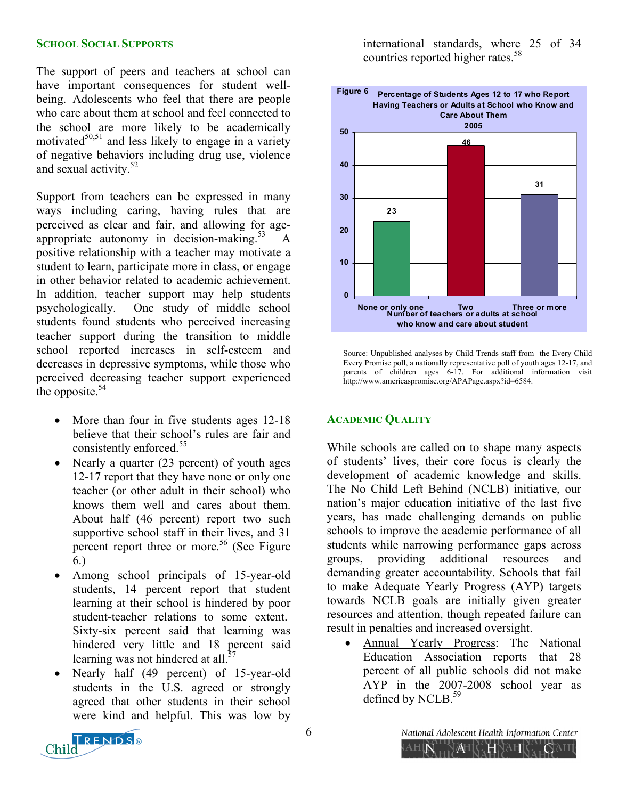#### **SCHOOL SOCIAL SUPPORTS**

The support of peers and teachers at school can have important consequences for student wellbeing. Adolescents who feel that there are people who care about them at school and feel connected to the school are more likely to be academically motivated $50,51$  and less likely to engage in a variety of negative behaviors including drug use, violence and sexual activity.<sup>52</sup>

Support from teachers can be expressed in many ways including caring, having rules that are perceived as clear and fair, and allowing for ageappropriate autonomy in decision-making.<sup>53</sup> A positive relationship with a teacher may motivate a student to learn, participate more in class, or engage in other behavior related to academic achievement. In addition, teacher support may help students psychologically. One study of middle school students found students who perceived increasing teacher support during the transition to middle school reported increases in self-esteem and decreases in depressive symptoms, while those who perceived decreasing teacher support experienced the opposite. $54$ 

- More than four in five students ages 12-18 believe that their school's rules are fair and consistently enforced.<sup>55</sup>
- Nearly a quarter (23 percent) of youth ages 12-17 report that they have none or only one teacher (or other adult in their school) who knows them well and cares about them. About half (46 percent) report two such supportive school staff in their lives, and 31 percent report three or more.<sup>56</sup> (See Figure 6.)
- Among school principals of 15-year-old students, 14 percent report that student learning at their school is hindered by poor student-teacher relations to some extent. Sixty-six percent said that learning was hindered very little and 18 percent said learning was not hindered at all. $57$
- Nearly half (49 percent) of 15-year-old students in the U.S. agreed or strongly agreed that other students in their school were kind and helpful. This was low by

international standards, where 25 of 34 countries reported higher rates.<sup>58</sup>



Source: Unpublished analyses by Child Trends staff from the Every Child Every Promise poll, a nationally representative poll of youth ages 12-17, and parents of children ages 6-17. For additional information visit http://www.americaspromise.org/APAPage.aspx?id=6584.

#### **ACADEMIC QUALITY**

While schools are called on to shape many aspects of students' lives, their core focus is clearly the development of academic knowledge and skills. The No Child Left Behind (NCLB) initiative, our nation's major education initiative of the last five years, has made challenging demands on public schools to improve the academic performance of all students while narrowing performance gaps across groups, providing additional resources and demanding greater accountability. Schools that fail to make Adequate Yearly Progress (AYP) targets towards NCLB goals are initially given greater resources and attention, though repeated failure can result in penalties and increased oversight.

• Annual Yearly Progress: The National Education Association reports that 28 percent of all public schools did not make AYP in the 2007-2008 school year as defined by NCLB.<sup>59</sup>

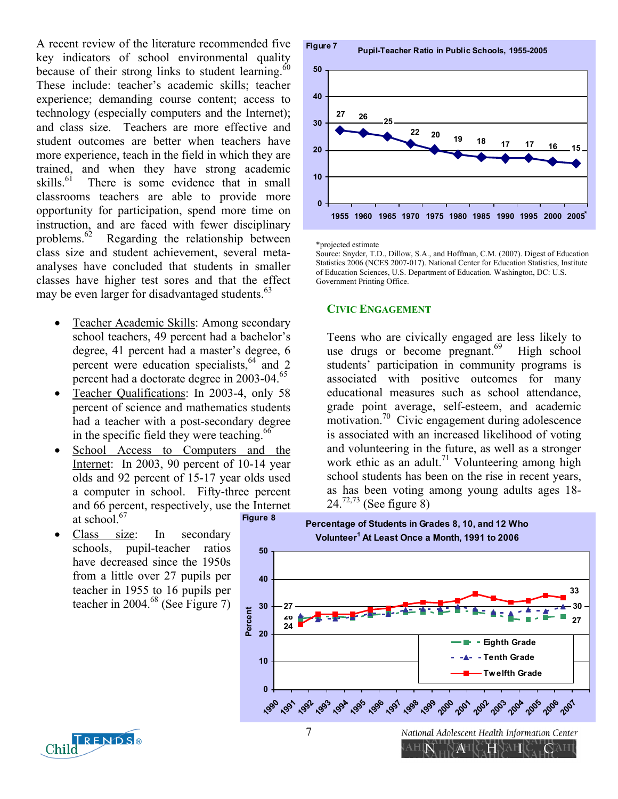A recent review of the literature recommended five key indicators of school environmental quality because of their strong links to student learning. $60$ These include: teacher's academic skills; teacher experience; demanding course content; access to technology (especially computers and the Internet); and class size. Teachers are more effective and student outcomes are better when teachers have more experience, teach in the field in which they are trained, and when they have strong academic skills.<sup>61</sup> There is some evidence that in small classrooms teachers are able to provide more opportunity for participation, spend more time on instruction, and are faced with fewer disciplinary problems.62 Regarding the relationship between class size and student achievement, several metaanalyses have concluded that students in smaller classes have higher test sores and that the effect may be even larger for disadvantaged students.<sup>63</sup>

- Teacher Academic Skills: Among secondary school teachers, 49 percent had a bachelor's degree, 41 percent had a master's degree, 6 percent were education specialists, $64$  and 2 percent had a doctorate degree in 2003-04.<sup>65</sup>
- Teacher Qualifications: In 2003-4, only 58 percent of science and mathematics students had a teacher with a post-secondary degree in the specific field they were teaching.<sup>66</sup>
- School Access to Computers and the Internet: In 2003, 90 percent of 10-14 year olds and 92 percent of 15-17 year olds used a computer in school. Fifty-three percent and 66 percent, respectively, use the Internet at school. $67$ **Figure 8**
- Class size: In secondary schools, pupil-teacher ratios have decreased since the 1950s from a little over 27 pupils per teacher in 1955 to 16 pupils per teacher in  $2004<sup>68</sup>$  (See Figure 7)



\*projected estimate

Source: Snyder, T.D., Dillow, S.A., and Hoffman, C.M. (2007). Digest of Education Statistics 2006 (NCES 2007-017). National Center for Education Statistics, Institute of Education Sciences, U.S. Department of Education. Washington, DC: U.S. Government Printing Office.

#### **CIVIC ENGAGEMENT**

Teens who are civically engaged are less likely to use drugs or become  $pregnant.<sup>69</sup>$  High school students' participation in community programs is associated with positive outcomes for many educational measures such as school attendance, grade point average, self-esteem, and academic motivation.<sup>70</sup> Civic engagement during adolescence is associated with an increased likelihood of voting and volunteering in the future, as well as a stronger work ethic as an adult.<sup>71</sup> Volunteering among high school students has been on the rise in recent years, as has been voting among young adults ages 18-  $24^{72,73}$  (See figure 8)



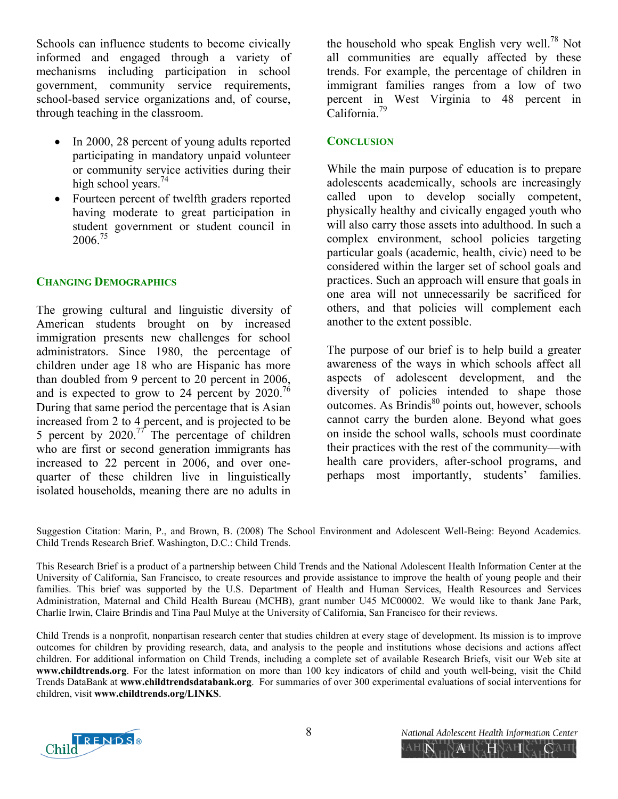Schools can influence students to become civically informed and engaged through a variety of mechanisms including participation in school government, community service requirements, school-based service organizations and, of course, through teaching in the classroom.

- In 2000, 28 percent of young adults reported participating in mandatory unpaid volunteer or community service activities during their high school years.<sup>74</sup>
- Fourteen percent of twelfth graders reported having moderate to great participation in student government or student council in 2006<sup>75</sup>

## **CHANGING DEMOGRAPHICS**

The growing cultural and linguistic diversity of American students brought on by increased immigration presents new challenges for school administrators. Since 1980, the percentage of children under age 18 who are Hispanic has more than doubled from 9 percent to 20 percent in 2006, and is expected to grow to 24 percent by  $2020$ .<sup>76</sup> During that same period the percentage that is Asian increased from 2 to 4 percent, and is projected to be 5 percent by  $2020$ .<sup>77</sup> The percentage of children who are first or second generation immigrants has increased to 22 percent in 2006, and over onequarter of these children live in linguistically isolated households, meaning there are no adults in

the household who speak English very well.<sup>78</sup> Not all communities are equally affected by these trends. For example, the percentage of children in immigrant families ranges from a low of two percent in West Virginia to 48 percent in California.79

### **CONCLUSION**

While the main purpose of education is to prepare adolescents academically, schools are increasingly called upon to develop socially competent, physically healthy and civically engaged youth who will also carry those assets into adulthood. In such a complex environment, school policies targeting particular goals (academic, health, civic) need to be considered within the larger set of school goals and practices. Such an approach will ensure that goals in one area will not unnecessarily be sacrificed for others, and that policies will complement each another to the extent possible.

The purpose of our brief is to help build a greater awareness of the ways in which schools affect all aspects of adolescent development, and the diversity of policies intended to shape those  $outcomes. As  $\overrightarrow{Brindis}^{80}$  points out, however, schools$ cannot carry the burden alone. Beyond what goes on inside the school walls, schools must coordinate their practices with the rest of the community—with health care providers, after-school programs, and perhaps most importantly, students' families.

Suggestion Citation: Marin, P., and Brown, B. (2008) The School Environment and Adolescent Well-Being: Beyond Academics. Child Trends Research Brief. Washington, D.C.: Child Trends.

This Research Brief is a product of a partnership between Child Trends and the National Adolescent Health Information Center at the University of California, San Francisco, to create resources and provide assistance to improve the health of young people and their families. This brief was supported by the U.S. Department of Health and Human Services, Health Resources and Services Administration, Maternal and Child Health Bureau (MCHB), grant number U45 MC00002. We would like to thank Jane Park, Charlie Irwin, Claire Brindis and Tina Paul Mulye at the University of California, San Francisco for their reviews.

Child Trends is a nonprofit, nonpartisan research center that studies children at every stage of development. Its mission is to improve outcomes for children by providing research, data, and analysis to the people and institutions whose decisions and actions affect children. For additional information on Child Trends, including a complete set of available Research Briefs, visit our Web site at **www.childtrends.org**. For the latest information on more than 100 key indicators of child and youth well-being, visit the Child Trends DataBank at **www.childtrendsdatabank.org**. For summaries of over 300 experimental evaluations of social interventions for children, visit **www.childtrends.org/LINKS**.



ĂH

AHIN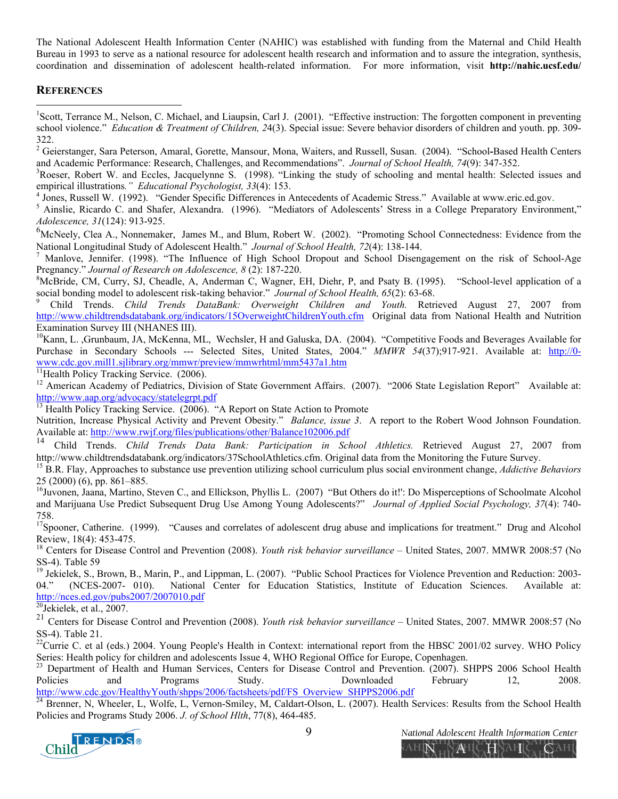The National Adolescent Health Information Center (NAHIC) was established with funding from the Maternal and Child Health Bureau in 1993 to serve as a national resource for adolescent health research and information and to assure the integration, synthesis, coordination and dissemination of adolescent health-related information. For more information, visit **http://nahic.ucsf.edu/**

#### **REFERENCES**

1

<sup>1</sup>Scott, Terrance M., Nelson, C. Michael, and Liaupsin, Carl J. (2001). "Effective instruction: The forgotten component in preventing school violence." *Education & Treatment of Children, 2*4(3). Special issue: Severe behavior disorders of children and youth. pp. 309- 322.

2 Geierstanger, Sara Peterson, Amaral, Gorette, Mansour, Mona, Waiters, and Russell, Susan. (2004). "School**-**Based Health Centers and Academic Performance: Research, Challenges, and Recommendations". *Journal of School Health, 74*(9): 347-352. 3

 $R^3$ Roeser, Robert W. and Eccles, Jacquelynne S. (1998). "Linking the study of schooling and mental health: Selected issues and empirical illustrations." *Educational Psychologist, 33*(4): 153.<br><sup>4</sup> Jones, Russell W. (1992). "Gender Specific Differences in Antecedents of Academic Stress." Available at www.eric.ed.gov.

<sup>4</sup> Jones, Russell W. (1992). "Gender Specific Differences in Antecedents of Academic Stress." Available at www.eric.ed.gov.<br><sup>5</sup> Ainslie, Ricardo C. and Shafer, Alexandra. (1996). "Mediators of Adolescents' Stress in a Col *Adolescence, 31*(124): 913-925.

<sup>6</sup>McNeely, Clea A., Nonnemaker, James M., and Blum, Robert W. (2002). "Promoting School Connectedness: Evidence from the National Longitudinal Study of Adolescent Health." *Journal of School Health, 72*(4): 138-144.<br><sup>7</sup> Manlove Jennifer, (1998). "The Influence of High School Dropout and School Disens

 Manlove, Jennifer. (1998). "The Influence of High School Dropout and School Disengagement on the risk of School-Age Pregnancy." *Journal of Research on Adolescence*, 8(2): 187-220.

<sup>8</sup>McBride, CM, Curry, SJ, Cheadle, A, Anderman C, Wagner, EH, Diehr, P, and Psaty B. (1995). "School-level application of a social bonding model to adolescent risk-taking behavior." Journal of School Health, 65(2): 63-68.

 Child Trends. *Child Trends DataBank: Overweight Children and Youth.* Retrieved August 27, 2007 from http://www.childtrendsdatabank.org/indicators/15OverweightChildrenYouth.cfm Original data from National Health and Nutrition Examination Survey III (NHANES III).

<sup>10</sup>Kann, L. ,Grunbaum, JA, McKenna, ML, Wechsler, H and Galuska, DA. (2004). "Competitive Foods and Beverages Available for Purchase in Secondary Schools --- Selected Sites, United States, 2004." *MMWR 54*(37);917-921. Available at: http://0 www.cdc.gov.mill1.sjlibrary.org/mmwr/preview/mmwrhtml/mm5437a1.htm <sup>11</sup>Health Policy Tracking Service. (2006).

<sup>12</sup> American Academy of Pediatrics, Division of State Government Affairs. (2007). "2006 State Legislation Report" Available at: http://www.aap.org/advocacy/statelegrpt.pdf

<sup>13</sup> Health Policy Tracking Service. (2006). "A Report on State Action to Promote

Nutrition, Increase Physical Activity and Prevent Obesity." *Balance, issue 3*. A report to the Robert Wood Johnson Foundation. Available at: http://www.rwjf.org/files/publications/other/Balance102006.pdf<br><sup>14</sup> Child Trends. *Child Trends Data Bank: Participation in School Athletics*. Retrieved August 27, 2007 from

http://www.childtrendsdatabank.org/indicators/37SchoolAthletics.cfm. Original data from the Monitoring the Future Survey.<br><sup>15</sup> B.R. Flay, Approaches to substance use prevention utilizing school curriculum plus social envir

25 (2000) (6), pp. 861–885.

<sup>16</sup>Juvonen, Jaana, Martino, Steven C., and Ellickson, Phyllis L. (2007) "But Others do it!": Do Misperceptions of Schoolmate Alcohol and Marijuana Use Predict Subsequent Drug Use Among Young Adolescents?" *Journal of Applied Social Psychology, 37*(4): 740- 758.

<sup>17</sup>Spooner, Catherine. (1999). "Causes and correlates of adolescent drug abuse and implications for treatment." Drug and Alcohol Review, 18(4): 453-475.

18 Centers for Disease Control and Prevention (2008). *Youth risk behavior surveillance* – United States, 2007. MMWR 2008:57 (No SS-4). Table 59

<sup>19</sup> Jekielek, S., Brown, B., Marin, P., and Lippman, L. (2007). "Public School Practices for Violence Prevention and Reduction: 2003-04." (NCES-2007- 010). National Center for Education Statistics, Institute of Education Sciences. Available at: http://nces.ed.gov/pubs2007/2007010.pdf<br><sup>20</sup>Jekielek, et al., 2007.

<sup>21</sup> Centers for Disease Control and Prevention (2008). *Youth risk behavior surveillance* – United States, 2007. MMWR 2008:57 (No SS-4). Table 21.

 $^{22}$ Currie C. et al (eds.) 2004. Young People's Health in Context: international report from the HBSC 2001/02 survey. WHO Policy Series: Health policy for children and adolescents Issue 4, WHO Regional Office for Europe

Department of Health and Human Services, Centers for Disease Control and Prevention. (2007). SHPPS 2006 School Health Policies and Programs Study. Downloaded February 12, 2008.

http://www.cdc.gov/HealthyYouth/shpps/2006/factsheets/pdf/FS\_Overview\_SHPPS2006.pdf<br><sup>24</sup> Brenner, N, Wheeler, L, Wolfe, L, Vernon-Smiley, M, Caldart-Olson, L. (2007). Health Services: Results from the School Health Policies and Programs Study 2006. *J. of School Hlth*, 77(8), 464-485.



9 Mational Adolescent Health Information Center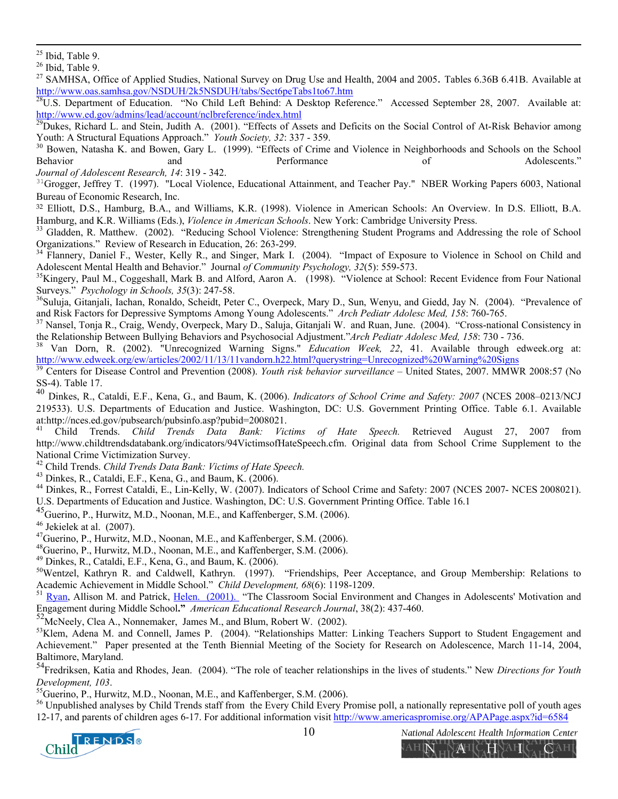<sup>27</sup> SAMHSA, Office of Applied Studies, National Survey on Drug Use and Health, 2004 and 2005. Tables 6.36B 6.41B. Available at

http://www.oas.samhsa.gov/NSDUH/2k5NSDUH/tabs/Sect6peTabs1to67.htm<br><sup>28</sup>U.S. Department of Education. "No Child Left Behind: A Desktop Reference." Accessed September 28, 2007. Available at:<br>http://www.ed.gov/admins/lead/acc

 $\frac{100 \text{ J/m}}{29}$ Dukes, Richard L. and Stein, Judith A. (2001). "Effects of Assets and Deficits on the Social Control of At-Risk Behavior among Youth: A Structural Equations Approach." Youth Society, 32: 337 - 359.

<sup>30</sup> Bowen, Natasha K. and Bowen, Gary L. (1999). "Effects of Crime and Violence in Neighborhoods and Schools on the School Behavior and and Performance of Adolescents."

*Journal of Adolescent Research, 14*: 319 - 342.

 $31$ Grogger, Jeffrey T. (1997). "Local Violence, Educational Attainment, and Teacher Pay." NBER Working Papers 6003, National Bureau of Economic Research, Inc.

<sup>32</sup> Elliott, D.S., Hamburg, B.A., and Williams, K.R. (1998). Violence in American Schools: An Overview. In D.S. Elliott, B.A. Hamburg, and K.R. Williams (Eds.), *Violence in American Schools*. New York: Cambridge University Press.<br><sup>33</sup> Gladden, R. Matthew. (2002). "Reducing School Violence: Strengthening Student Programs and Addressing the role o

Organizations." Review of Research in Education, 26: 263-299.

<sup>34</sup> Flannery, Daniel F., Wester, Kelly R., and Singer, Mark I. (2004). "Impact of Exposure to Violence in School on Child and Adolescent Mental Health and Behavior." Journal of Community Psychology,  $32(5)$ : 559-573.

<sup>35</sup>Kingery, Paul M., Coggeshall, Mark B. and Alford, Aaron A. (1998). "Violence at School: Recent Evidence from Four National

Surveys." *Psychology in Schools, 35*(3): 247-58.<br><sup>36</sup>Suluja, Gitanjali, Iachan, Ronaldo, Scheidt, Peter C., Overpeck, Mary D., Sun, Wenyu, and Giedd, Jay N. (2004). "Prevalence of and Risk Factors for Depressive Symptoms

<sup>37</sup> Nansel, Tonja R., Craig, Wendy, Overpeck, Mary D., Saluja, Gitanjali W. and Ruan, June. (2004). "Cross-national Consistency in the Relationship Between Bullying Behaviors and Psychosocial Adjustment."Arch Pediatr Adol

<sup>38</sup> Van Dorn, R. (2002). "Unrecognized Warning Signs." *Education Week*, 22, 41. Available through edweek.org at: org/more than the strategy of the case of the Aranaou of the Aranaou incough edweek.org/ew/articles/2002/11/13/11vandorn.h22.html?querystring=Unrecognized%20Warning%20Signs<br><sup>39</sup> Centers for Disease Control and Prevention (

SS-4). Table 17.

<sup>40</sup> Dinkes, R., Cataldi, E.F., Kena, G., and Baum, K. (2006). *Indicators of School Crime and Safety: 2007* (NCES 2008–0213/NCJ 219533). U.S. Departments of Education and Justice. Washington, DC: U.S. Government Printing Office. Table 6.1. Available at:http://nces.ed.gov/pubsearch/pubsinfo.asp?pubid=2008021. 41 Child Trends. *Child Trends Data Bank: Victims of Hate Speech.* Retrieved August 27, 2007 from

http://www.childtrendsdatabank.org/indicators/94VictimsofHateSpeech.cfm. Original data from School Crime Supplement to the National Crime Victimization Survey.

42 Child Trends. *Child Trends Data Bank: Victims of Hate Speech.* 43 Dinkes, R., Cataldi, E.F., Kena, G., and Baum, K. (2006).

44 Dinkes, R., Forrest Cataldi, E., Lin-Kelly, W. (2007). Indicators of School Crime and Safety: 2007 (NCES 2007- NCES 2008021). U.S. Departments of Education and Justice. Washington, DC: U.S. Government Printing Office. Table 16.1

<sup>45</sup>Guerino, P., Hurwitz, M.D., Noonan, M.E., and Kaffenberger, S.M. (2006).

 $46$  Jekielek at al.  $(2007)$ .

<sup>47</sup>Guerino, P., Hurwitz, M.D., Noonan, M.E., and Kaffenberger, S.M. (2006).

48Guerino, P., Hurwitz, M.D., Noonan, M.E., and Kaffenberger, S.M. (2006).

49 Dinkes, R., Cataldi, E.F., Kena, G., and Baum, K. (2006).

<sup>50</sup>Wentzel, Kathryn R. and Caldwell, Kathryn. (1997). "Friendships, Peer Acceptance, and Group Membership: Relations to Academic Achievement in Middle School." *Child Development, 68*(6): 1198-1209.<br><sup>51</sup> Ryan, Allison M. and Patrick, Helen. (2001). "The Classroom Social Environment and Changes in Adolescents' Motivation and

Engagement during Middle School**."** *American Educational Research Journal*, 38(2): 437-460.

 $^{52}$ McNeely, Clea A., Nonnemaker, James M., and Blum, Robert W. (2002).<br> $^{53}$ Klem, Adena M. and Connell, James P. (2004). "Relationships Matter: Linking Teachers Support to Student Engagement and Achievement." Paper presented at the Tenth Biennial Meeting of the Society for Research on Adolescence, March 11-14, 2004. Baltimore, Maryland.

54Fredriksen, Katia and Rhodes, Jean. (2004). "The role of teacher relationships in the lives of students." New *Directions for Youth Development, 103.*<br><sup>55</sup>Guerino, P., Hurwitz, M.D., Noonan, M.E., and Kaffenberger, S.M. (2006).

<sup>56</sup> Unpublished analyses by Child Trends staff from the Every Child Every Promise poll, a nationally representative poll of youth ages 12-17, and parents of children ages 6-17. For additional information visit http://www.americaspromise.org/APAPage.aspx?id=6584



 $25$  Ibid, Table 9.

 $26$  Ibid, Table 9.